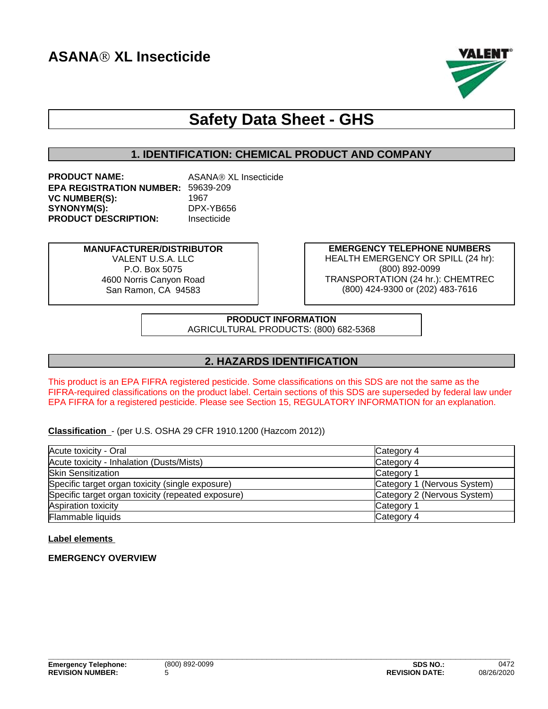

# **Safety Data Sheet - GHS**

# **1. IDENTIFICATION: CHEMICAL PRODUCT AND COMPANY**

| <b>PRODUCT NAME:</b>                      | ASANA® XL Insecticide |
|-------------------------------------------|-----------------------|
| <b>EPA REGISTRATION NUMBER: 59639-209</b> |                       |
| <b>VC NUMBER(S):</b>                      | 1967                  |
| SYNONYM(S):                               | DPX-YB656             |
| <b>PRODUCT DESCRIPTION:</b>               | Insecticide           |

**MANUFACTURER/DISTRIBUTOR** VALENT U.S.A. LLC P.O. Box 5075 4600 Norris Canyon Road San Ramon, CA 94583

**EMERGENCY TELEPHONE NUMBERS** HEALTH EMERGENCY OR SPILL (24 hr): (800) 892-0099 TRANSPORTATION (24 hr.): CHEMTREC (800) 424-9300 or (202) 483-7616

**PRODUCT INFORMATION** AGRICULTURAL PRODUCTS: (800) 682-5368

# **2. HAZARDS IDENTIFICATION**

This product is an EPA FIFRA registered pesticide. Some classifications on this SDS are not the same as the FIFRA-required classifications on the product label. Certain sections of this SDS are superseded by federal law under EPA FIFRA for a registered pesticide. Please see Section 15, REGULATORY INFORMATION for an explanation.

**Classification** - (per U.S. OSHA 29 CFR 1910.1200 (Hazcom 2012))

| Acute toxicity - Oral                              | Category 4                  |
|----------------------------------------------------|-----------------------------|
| Acute toxicity - Inhalation (Dusts/Mists)          | Category 4                  |
| <b>Skin Sensitization</b>                          | Category <sup>2</sup>       |
| Specific target organ toxicity (single exposure)   | Category 1 (Nervous System) |
| Specific target organ toxicity (repeated exposure) | Category 2 (Nervous System) |
| Aspiration toxicity                                | Category <sup>2</sup>       |
| Flammable liquids                                  | Category 4                  |

#### **Label elements**

# **EMERGENCY OVERVIEW**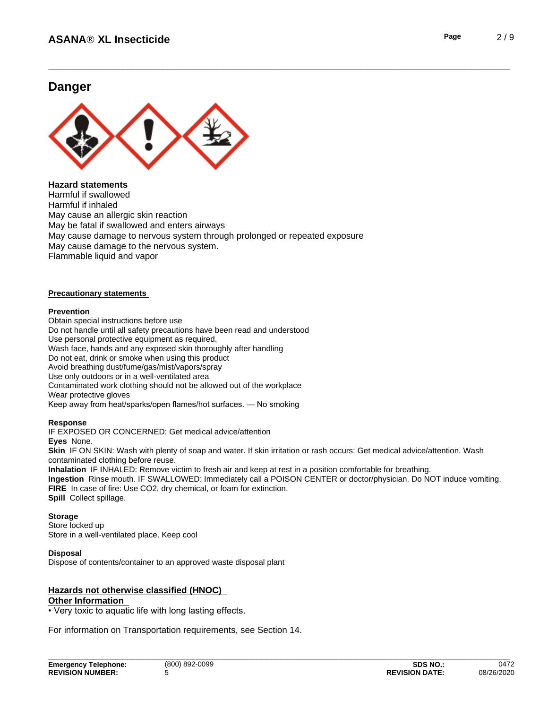# **Danger**



#### **Hazard statements**

Harmful if swallowed Harmful if inhaled May cause an allergic skin reaction May be fatal if swallowed and enters airways May cause damage to nervous system through prolonged or repeated exposure May cause damage to the nervous system. Flammable liquid and vapor

#### **Precautionary statements**

#### **Prevention**

Obtain special instructions before use Do not handle until all safety precautions have been read and understood<br>Use personal protective equipment as required. Wash face, hands and any exposed skin thoroughly after handling Do not eat, drink or smoke when using this product Avoid breathing dust/fume/gas/mist/vapors/spray Use only outdoors or in a well-ventilated area Contaminated work clothing should not be allowed out of the workplace Wear protective gloves Keep away from heat/sparks/open flames/hot surfaces. — No smoking

#### **Response**

IF EXPOSED OR CONCERNED: Get medical advice/attention

**Eyes** None.

**Skin** IF ON SKIN: Wash with plenty of soap and water. If skin irritation or rash occurs: Get medical advice/attention. Wash contaminated clothing before reuse.

**Inhalation** IF INHALED: Remove victim to fresh air and keep at rest in a position comfortable for breathing.

**Ingestion** Rinse mouth. IF SWALLOWED: Immediately call a POISON CENTER or doctor/physician. Do NOT induce vomiting. **FIRE** In case of fire: Use CO2, dry chemical, or foam for extinction.

**Spill** Collect spillage.

#### **Storage**

Store locked up Store in a well-ventilated place. Keep cool

#### **Disposal**

Dispose of contents/container to an approved waste disposal plant

#### **Hazards not otherwise classified (HNOC) Other Information**

• Very toxic to aquatic life with long lasting effects.

For information on Transportation requirements, see Section 14.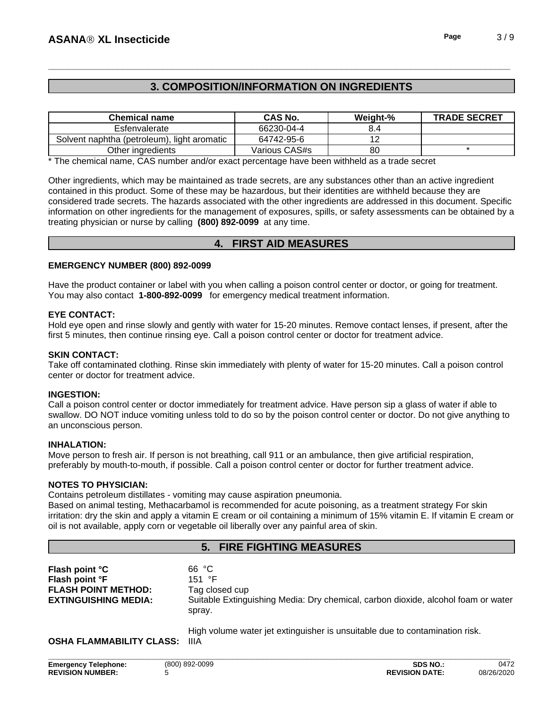# **3. COMPOSITION/INFORMATION ON INGREDIENTS**

| <b>Chemical name</b>                        | <b>CAS No.</b> | Weight-% | <b>TRADE SECRET</b> |
|---------------------------------------------|----------------|----------|---------------------|
| Esfenvalerate                               | 66230-04-4     | 4.د      |                     |
| Solvent naphtha (petroleum), light aromatic | 64742-95-6     |          |                     |
| Other ingredients                           | Various CAS#s  | 80       |                     |

\* The chemical name, CAS number and/or exact percentage have been withheld as a trade secret

Other ingredients, which may be maintained as trade secrets, are any substances other than an active ingredient contained in this product. Some of these may be hazardous, but their identities are withheld because they are considered trade secrets. The hazards associated with the otheringredients are addressed in this document. Specific information on other ingredients for the management of exposures, spills, or safety assessments can be obtained by a treating physician or nurse by calling **(800) 892-0099** at any time.

# **4. FIRST AID MEASURES**

#### **EMERGENCY NUMBER (800) 892-0099**

Have the product container or label with you when calling a poison control center or doctor, or going for treatment. You may also contact **1-800-892-0099** for emergency medical treatment information.

#### **EYE CONTACT:**

Hold eye open and rinse slowly and gently with water for 15-20 minutes. Remove contact lenses, if present, after the first 5 minutes, then continue rinsing eye. Call a poison control center or doctor for treatment advice.

#### **SKIN CONTACT:**

Take off contaminated clothing. Rinse skin immediately with plenty of water for 15-20 minutes. Call a poison control center or doctor for treatment advice.

#### **INGESTION:**

Call a poison control center or doctor immediately for treatment advice. Have person sip a glass of water if able to swallow. DO NOT induce vomiting unless told to do so by the poison control center or doctor. Do not give anything to an unconscious person.

#### **INHALATION:**

Move person to fresh air. If person is not breathing, call 911 or an ambulance, then give artificial respiration, preferably by mouth-to-mouth, if possible. Call a poison control center or doctor for further treatment advice.

#### **NOTES TO PHYSICIAN:**

Contains petroleum distillates - vomiting may cause aspiration pneumonia.

Based on animal testing, Methacarbamol is recommended for acute poisoning, as a treatment strategy For skin irritation: dry the skin and apply a vitamin E cream or oil containing a minimum of 15% vitamin E. If vitamin E cream or oil is not available, apply corn or vegetable oil liberally over any painful area of skin.

#### **5. FIRE FIGHTING MEASURES**

|                             | spray.                                                                            |
|-----------------------------|-----------------------------------------------------------------------------------|
| Flash point °C              | 66 °C                                                                             |
| Flash point °F              | 151 °F                                                                            |
| <b>FLASH POINT METHOD:</b>  | Tag closed cup                                                                    |
| <b>EXTINGUISHING MEDIA:</b> | Suitable Extinguishing Media: Dry chemical, carbon dioxide, alcohol foam or water |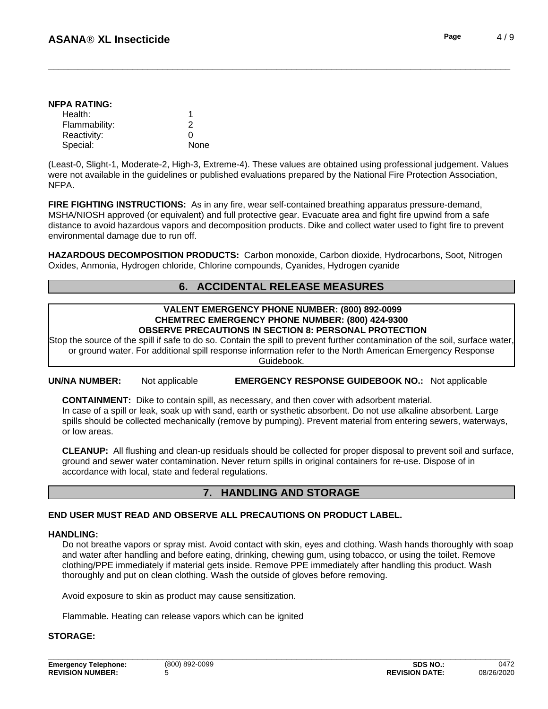| NFPA RATING:  |  |
|---------------|--|
| Health:       |  |
| Flammability: |  |
| Reactivity:   |  |

Special: None

(Least-0, Slight-1, Moderate-2, High-3, Extreme-4). These values are obtained using professional judgement. Values were not available in the guidelines or published evaluations prepared by the National Fire Protection Association, NFPA.

**FIRE FIGHTING INSTRUCTIONS:** As in any fire, wear self-contained breathing apparatus pressure-demand, MSHA/NIOSH approved (or equivalent) and full protective gear. Evacuate area and fight fire upwind from a safe distance to avoid hazardous vapors and decomposition products. Dike and collect water used to fight fire to prevent environmental damage due to run off.

**HAZARDOUS DECOMPOSITION PRODUCTS:** Carbon monoxide, Carbon dioxide, Hydrocarbons, Soot, Nitrogen Oxides, Anmonia, Hydrogen chloride, Chlorine compounds, Cyanides, Hydrogen cyanide

# **6. ACCIDENTAL RELEASE MEASURES**

#### **VALENT EMERGENCY PHONE NUMBER: (800) 892-0099 CHEMTREC EMERGENCY PHONE NUMBER: (800) 424-9300 OBSERVE PRECAUTIONS IN SECTION 8: PERSONAL PROTECTION**

Stop the source of the spill if safe to do so. Contain the spill to prevent further contamination of the soil, surface water, or ground water. For additional spill response information refer to the North American Emergency Response Guidebook.

**UN/NA NUMBER:** Not applicable **EMERGENCY RESPONSE GUIDEBOOK NO.:** Not applicable

**CONTAINMENT:** Dike to contain spill, as necessary, and then cover with adsorbent material. In case of a spill or leak, soak up with sand, earth or systhetic absorbent. Do not use alkaline absorbent. Large spills should be collected mechanically (remove by pumping). Prevent material from entering sewers, waterways, or low areas.

**CLEANUP:** All flushing and clean-up residuals should be collected for proper disposal to prevent soil and surface, ground and sewer water contamination. Never return spills in original containers for re-use. Dispose of in accordance with local, state and federal regulations.

# **7. HANDLING AND STORAGE**

#### **END USER MUST READ AND OBSERVE ALL PRECAUTIONS ON PRODUCT LABEL.**

#### **HANDLING:**

Do not breathe vapors or spray mist. Avoid contact with skin, eyes and clothing. Wash hands thoroughly with soap and water after handling and before eating, drinking, chewing gum, using tobacco, or using the toilet. Remove clothing/PPE immediately if material gets inside. Remove PPE immediately after handling this product. Wash thoroughly and put on clean clothing. Wash the outside of gloves before removing.

Avoid exposure to skin as product may cause sensitization.

Flammable. Heating can release vapors which can be ignited

#### **STORAGE:**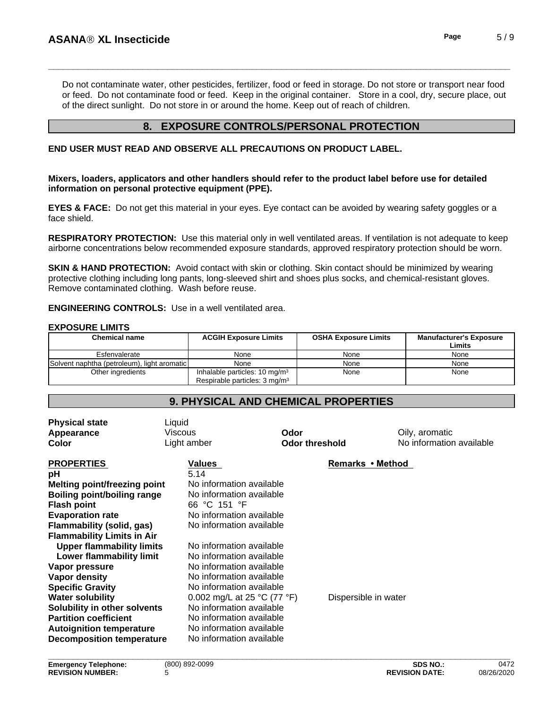**\_\_\_\_\_\_\_\_\_\_\_\_\_\_\_\_\_\_\_\_\_\_\_\_\_\_\_\_\_\_\_\_\_\_\_\_\_\_\_\_\_\_\_\_\_\_\_\_\_\_\_\_\_\_\_\_\_\_\_\_\_\_\_\_\_\_\_\_\_\_\_\_\_\_\_\_\_\_\_\_\_\_\_\_\_\_\_\_\_\_\_\_\_ ASANAÒ XL Insecticide Page** 5 / 9

Do not contaminate water, other pesticides, fertilizer, food or feed in storage. Do not store or transport near food or feed. Do not contaminate food or feed. Keep in the original container. Store in a cool, dry, secure place, out of the direct sunlight. Do not store in or around the home. Keep out of reach of children.

# **8. EXPOSURE CONTROLS/PERSONAL PROTECTION**

#### **END USER MUST READ AND OBSERVE ALL PRECAUTIONS ON PRODUCT LABEL.**

**Mixers, loaders, applicators and other handlers should refer to the product label before use for detailed information on personal protective equipment (PPE).**

**EYES & FACE:** Do not get this material in your eyes. Eye contact can be avoided by wearing safety goggles or a face shield.

**RESPIRATORY PROTECTION:** Use this material only in well ventilated areas. If ventilation is not adequate to keep airborne concentrations below recommended exposure standards, approved respiratory protection should be worn.

**SKIN & HAND PROTECTION:** Avoid contact with skin or clothing. Skin contact should be minimized by wearing protective clothing including long pants, long-sleeved shirt and shoes plus socks, and chemical-resistant gloves. Remove contaminated clothing. Wash before reuse.

**ENGINEERING CONTROLS:** Use in a well ventilated area.

#### **EXPOSURE LIMITS**

| <b>Chemical name</b>                        | <b>ACGIH Exposure Limits</b>              | <b>OSHA Exposure Limits</b> | <b>Manufacturer's Exposure</b><br>Limits |
|---------------------------------------------|-------------------------------------------|-----------------------------|------------------------------------------|
| Esfenvalerate                               | None                                      | None                        | None                                     |
| Solvent naphtha (petroleum), light aromatic | None                                      | None                        | None                                     |
| Other ingredients                           | Inhalable particles: $10 \text{ mg/m}^3$  | None                        | None                                     |
|                                             | Respirable particles: 3 mg/m <sup>3</sup> |                             |                                          |

# **9. PHYSICAL AND CHEMICAL PROPERTIES**

| <b>Physical state</b><br>Appearance<br>Color                                                                                                                                                                                                                                                                                      | Liquid<br>Viscous<br>Light amber                                                                                                                                                                                                                                                                            | Odor<br><b>Odor threshold</b> | Oily, aromatic<br>No information available |
|-----------------------------------------------------------------------------------------------------------------------------------------------------------------------------------------------------------------------------------------------------------------------------------------------------------------------------------|-------------------------------------------------------------------------------------------------------------------------------------------------------------------------------------------------------------------------------------------------------------------------------------------------------------|-------------------------------|--------------------------------------------|
| <b>PROPERTIES</b><br>рH<br><b>Melting point/freezing point</b><br>Boiling point/boiling range<br><b>Flash point</b><br><b>Evaporation rate</b><br>Flammability (solid, gas)                                                                                                                                                       | Values<br>5.14<br>No information available<br>No information available<br>66 °C 151 °F<br>No information available<br>No information available                                                                                                                                                              | Remarks • Method              |                                            |
| <b>Flammability Limits in Air</b><br><b>Upper flammability limits</b><br>Lower flammability limit<br>Vapor pressure<br>Vapor density<br><b>Specific Gravity</b><br><b>Water solubility</b><br>Solubility in other solvents<br><b>Partition coefficient</b><br><b>Autoignition temperature</b><br><b>Decomposition temperature</b> | No information available<br>No information available<br>No information available<br>No information available<br>No information available<br>0.002 mg/L at 25 $^{\circ}$ C (77 $^{\circ}$ F)<br>No information available<br>No information available<br>No information available<br>No information available | Dispersible in water          |                                            |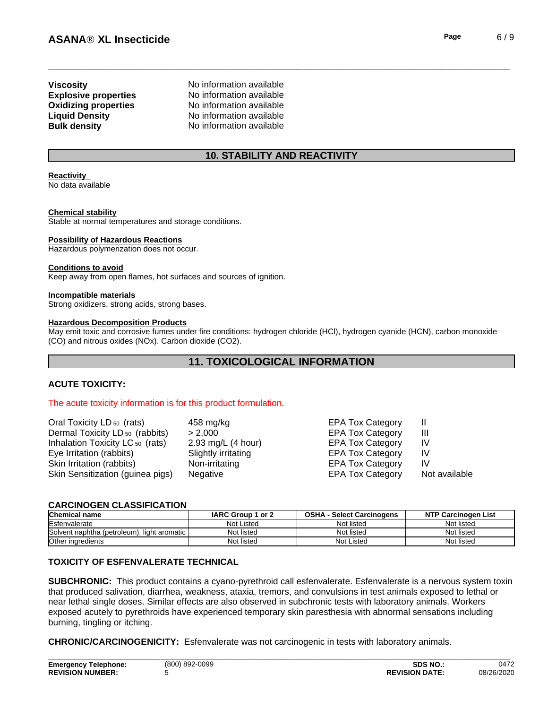# **Oxidizing properties Viscosity** No information available

**Explosive properties** No information available<br> **Oxidizing properties** No information available **Liquid Density** No information available **Bulk density** No information available

# **10. STABILITY AND REACTIVITY**

# **Reactivity**

No data available

#### **Chemical stability**

Stable at normal temperatures and storage conditions.

#### **Possibility of Hazardous Reactions**

Hazardous polymerization does not occur.

#### **Conditions to avoid**

Keep away from open flames, hot surfaces and sources of ignition.

#### **Incompatible materials**

Strong oxidizers, strong acids, strong bases.

#### **Hazardous Decomposition Products**

May emit toxic and corrosive fumes under fire conditions: hydrogen chloride (HCl), hydrogen cyanide (HCN), carbon monoxide (CO) and nitrous oxides (NOx). Carbon dioxide (CO2).

# **11. TOXICOLOGICAL INFORMATION**

#### **ACUTE TOXICITY:**

#### The acute toxicity information is for this product formulation.

| Oral Toxicity LD <sub>50</sub> (rats)<br>Dermal Toxicity LD <sub>50</sub> (rabbits) | 458 mg/kg<br>> 2.000 | <b>EPA Tox Category</b><br><b>EPA Tox Category</b> | Ш             |
|-------------------------------------------------------------------------------------|----------------------|----------------------------------------------------|---------------|
| Inhalation Toxicity LC <sub>50</sub> (rats)                                         | 2.93 mg/L $(4 hour)$ | <b>EPA Tox Category</b>                            | IV            |
| Eye Irritation (rabbits)                                                            | Slightly irritating  | <b>EPA Tox Category</b>                            | IV            |
| Skin Irritation (rabbits)                                                           | Non-irritating       | <b>EPA Tox Category</b>                            | IV            |
| Skin Sensitization (guinea pigs)                                                    | Negative             | <b>EPA Tox Category</b>                            | Not available |

#### **CARCINOGEN CLASSIFICATION**

| <b>Chemical name</b>                           | <b>IARC Group</b><br>or 2 | OSHA<br><b>Select Carcinogens</b> | <b>NTP Carcinogen List</b> |
|------------------------------------------------|---------------------------|-----------------------------------|----------------------------|
| <b>IEsfenvalerate</b>                          | <b>Not Listed</b>         | Not listed                        | Not listed                 |
| Solvent naphtha (petroleum).<br>light aromatic | Not listed                | Not listed                        | Not listed                 |
| Other ingredients                              | Not listed                | Not Listed                        | Not listed                 |

#### **TOXICITY OF ESFENVALERATE TECHNICAL**

**SUBCHRONIC:** This product contains a cyano-pyrethroid call esfenvalerate. Esfenvalerate is a nervous system toxin that produced salivation, diarrhea, weakness, ataxia, tremors, and convulsions in test animals exposed to lethal or near lethal single doses. Similar effects are also observed in subchronic tests with laboratory animals. Workers exposed acutely to pyrethroids have experienced temporary skin paresthesia with abnormal sensations including burning, tingling or itching.

**CHRONIC/CARCINOGENICITY:** Esfenvalerate was not carcinogenic in tests with laboratory animals.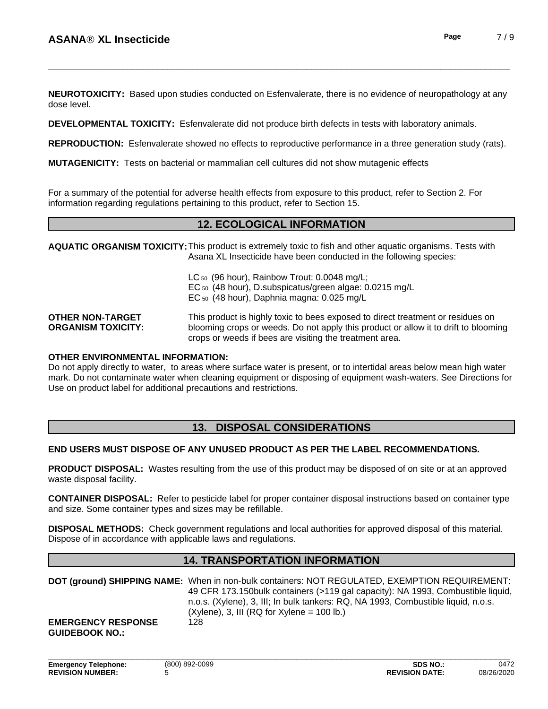**NEUROTOXICITY:** Based upon studies conducted on Esfenvalerate, there is no evidence of neuropathology at any dose level.

**DEVELOPMENTAL TOXICITY:**Esfenvalerate did not produce birth defects in tests with laboratory animals.

**REPRODUCTION:** Esfenvalerate showed no effects to reproductive performance in a three generation study (rats).

**MUTAGENICITY:** Tests on bacterial or mammalian cell cultures did not show mutagenic effects

For a summary of the potential for adverse health effects from exposure to this product, refer to Section 2. For information regarding regulations pertaining to this product, refer to Section 15.

# **12. ECOLOGICAL INFORMATION**

**AQUATIC ORGANISM TOXICITY:**This product is extremely toxic to fish and other aquatic organisms. Tests with Asana XL Insecticide have been conducted in the following species:

> LC 50 (96 hour), Rainbow Trout: 0.0048 ma/L: EC 50 (48 hour), D.subspicatus/green algae: 0.0215 mg/L EC 50 (48 hour), Daphnia magna: 0.025 mg/L

**OTHER NON-TARGET ORGANISM TOXICITY:** This product is highly toxic to bees exposed to direct treatment or residues on blooming crops or weeds. Do not apply this product or allow it to drift to blooming crops or weeds if bees are visiting the treatment area.

#### **OTHER ENVIRONMENTAL INFORMATION:**

Do not apply directly to water, to areas where surface water is present, or to intertidal areas below mean high water mark. Do not contaminate water when cleaning equipment or disposing of equipment wash-waters. See Directions for Use on product label for additional precautions and restrictions.

# **13. DISPOSAL CONSIDERATIONS**

#### **END USERS MUST DISPOSE OF ANY UNUSED PRODUCT AS PER THE LABEL RECOMMENDATIONS.**

**PRODUCT DISPOSAL:** Wastes resulting from the use of this product may be disposed of on site or at an approved waste disposal facility.

**CONTAINER DISPOSAL:** Refer to pesticide label for proper container disposal instructions based on container type and size. Some container types and sizes may be refillable.

**DISPOSAL METHODS:** Check government regulations and local authorities for approved disposal of this material. Dispose of in accordance with applicable laws and regulations.

#### **14. TRANSPORTATION INFORMATION**

|                                                    | DOT (ground) SHIPPING NAME: When in non-bulk containers: NOT REGULATED, EXEMPTION REQUIREMENT:<br>49 CFR 173.150 bulk containers (>119 gal capacity): NA 1993, Combustible liquid,<br>n.o.s. (Xylene), 3, III; In bulk tankers: RQ, NA 1993, Combustible liquid, n.o.s.<br>$(X$ ylene), 3, III (RQ for Xylene = 100 lb.) |
|----------------------------------------------------|--------------------------------------------------------------------------------------------------------------------------------------------------------------------------------------------------------------------------------------------------------------------------------------------------------------------------|
| <b>EMERGENCY RESPONSE</b><br><b>GUIDEBOOK NO.:</b> | 128                                                                                                                                                                                                                                                                                                                      |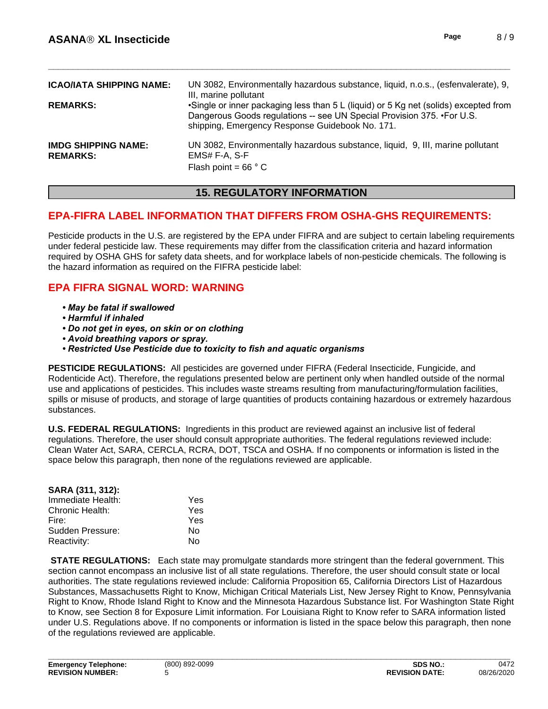| <b>ICAO/IATA SHIPPING NAME:</b><br><b>REMARKS:</b> | UN 3082, Environmentally hazardous substance, liquid, n.o.s., (esfenvalerate), 9,<br>III, marine pollutant<br>•Single or inner packaging less than 5 L (liquid) or 5 Kg net (solids) excepted from<br>Dangerous Goods regulations -- see UN Special Provision 375. • For U.S.<br>shipping, Emergency Response Guidebook No. 171. |
|----------------------------------------------------|----------------------------------------------------------------------------------------------------------------------------------------------------------------------------------------------------------------------------------------------------------------------------------------------------------------------------------|
| <b>IMDG SHIPPING NAME:</b><br><b>REMARKS:</b>      | UN 3082, Environmentally hazardous substance, liquid, 9, III, marine pollutant<br>EMS# F-A, S-F<br>Flash point = $66 \degree$ C                                                                                                                                                                                                  |

# **15. REGULATORY INFORMATION**

# **EPA-FIFRA LABEL INFORMATION THAT DIFFERS FROM OSHA-GHS REQUIREMENTS:**

Pesticide products in the U.S. are registered by the EPA under FIFRA and are subject to certain labeling requirements under federal pesticide law. These requirements may differ from the classification criteria and hazard information required by OSHA GHS for safety data sheets, and for workplace labels of non-pesticide chemicals. The following is the hazard information as required on the FIFRA pesticide label:

# **EPA FIFRA SIGNAL WORD: WARNING**

- . May be fatal if swallowed
- Harmful if inhaled
- Do not get in eyes, on skin or on clothing
- Avoid breathing vapors or spray.
- Restricted Use Pesticide due to toxicity to fish and aquatic organisms

PESTICIDE REGULATIONS: All pesticides are governed under FIFRA (Federal Insecticide, Fungicide, and Rodenticide Act). Therefore, the regulations presented below are pertinent only when handled outside of the normal use and applications of pesticides. This includes waste streams resulting from manufacturing/formulation facilities, spills or misuse of products, and storage of large quantities of products containing hazardous or extremely hazardous substances.

U.S. FEDERAL REGULATIONS: Ingredients in this product are reviewed against an inclusive list of federal regulations. Therefore, the user should consult appropriate authorities. The federal regulations reviewed include: Clean Water Act, SARA, CERCLA, RCRA, DOT, TSCA and OSHA. If no components or information is listed in the space below this paragraph, then none of the regulations reviewed are applicable.

| SARA (311, 312):  |      |
|-------------------|------|
| Immediate Health: | Yes. |
| Chronic Health:   | Yes. |
| Fire:             | Yes  |
| Sudden Pressure:  | N٥   |
| Reactivity:       | N٥   |

**STATE REGULATIONS:** Each state may promulgate standards more stringent than the federal government. This section cannot encompass an inclusive list of all state regulations. Therefore, the user should consult state or local authorities. The state regulations reviewed include: California Proposition 65, California Directors List of Hazardous Substances, Massachusetts Right to Know, Michigan Critical Materials List, New Jersey Right to Know, Pennsylvania Right to Know, Rhode Island Right to Know and the Minnesota Hazardous Substance list. For Washington State Right to Know, see Section 8 for Exposure Limit information. For Louisiana Right to Know refer to SARA information listed under U.S. Regulations above. If no components or information is listed in the space below this paragraph, then none of the regulations reviewed are applicable.